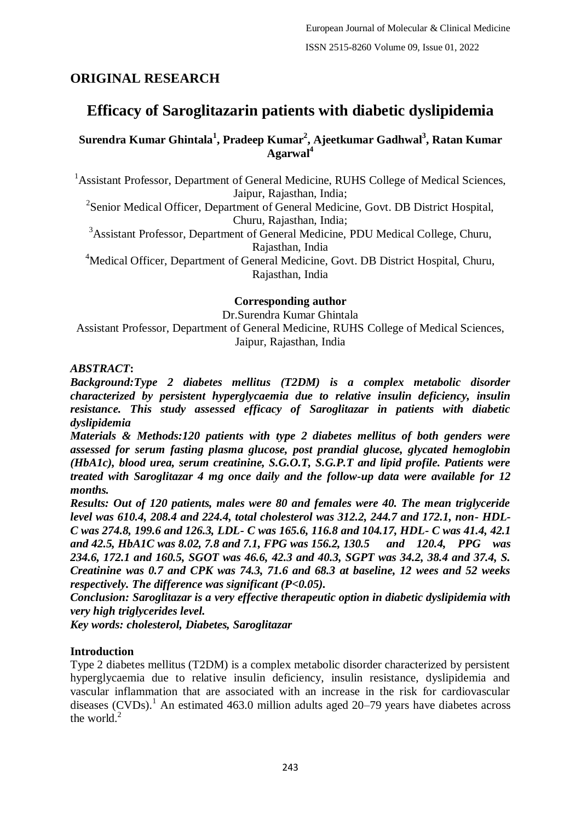## **ORIGINAL RESEARCH**

# **Efficacy of Saroglitazarin patients with diabetic dyslipidemia**

## **Surendra Kumar Ghintala<sup>1</sup> , Pradeep Kumar<sup>2</sup> , Ajeetkumar Gadhwal<sup>3</sup> , Ratan Kumar Agarwal<sup>4</sup>**

<sup>1</sup> Assistant Professor, Department of General Medicine, RUHS College of Medical Sciences, Jaipur, Rajasthan, India;

<sup>2</sup>Senior Medical Officer, Department of General Medicine, Govt. DB District Hospital, Churu, Rajasthan, India;

<sup>3</sup>Assistant Professor, Department of General Medicine, PDU Medical College, Churu, Rajasthan, India

<sup>4</sup>Medical Officer, Department of General Medicine, Govt. DB District Hospital, Churu, Rajasthan, India

#### **Corresponding author**

Dr.Surendra Kumar Ghintala Assistant Professor, Department of General Medicine, RUHS College of Medical Sciences, Jaipur, Rajasthan, India

### *ABSTRACT***:**

*Background:Type 2 diabetes mellitus (T2DM) is a complex metabolic disorder characterized by persistent hyperglycaemia due to relative insulin deficiency, insulin resistance. This study assessed efficacy of Saroglitazar in patients with diabetic dyslipidemia*

*Materials & Methods:120 patients with type 2 diabetes mellitus of both genders were assessed for serum fasting plasma glucose, post prandial glucose, glycated hemoglobin (HbA1c), blood urea, serum creatinine, S.G.O.T, S.G.P.T and lipid profile. Patients were treated with Saroglitazar 4 mg once daily and the follow-up data were available for 12 months.*

*Results: Out of 120 patients, males were 80 and females were 40. The mean triglyceride level was 610.4, 208.4 and 224.4, total cholesterol was 312.2, 244.7 and 172.1, non- HDL-C was 274.8, 199.6 and 126.3, LDL- C was 165.6, 116.8 and 104.17, HDL- C was 41.4, 42.1 and 42.5, HbA1C was 8.02, 7.8 and 7.1, FPG was 156.2, 130.5 and 120.4, PPG was 234.6, 172.1 and 160.5, SGOT was 46.6, 42.3 and 40.3, SGPT was 34.2, 38.4 and 37.4, S. Creatinine was 0.7 and CPK was 74.3, 71.6 and 68.3 at baseline, 12 wees and 52 weeks respectively. The difference was significant (P<0.05).*

*Conclusion: Saroglitazar is a very effective therapeutic option in diabetic dyslipidemia with very high triglycerides level.*

*Key words: cholesterol, Diabetes, Saroglitazar*

### **Introduction**

Type 2 diabetes mellitus (T2DM) is a complex metabolic disorder characterized by persistent hyperglycaemia due to relative insulin deficiency, insulin resistance, dyslipidemia and vascular inflammation that are associated with an increase in the risk for cardiovascular diseases  $(CVDs)$ <sup>1</sup>. An estimated 463.0 million adults aged 20–79 years have diabetes across the world. $^{2}$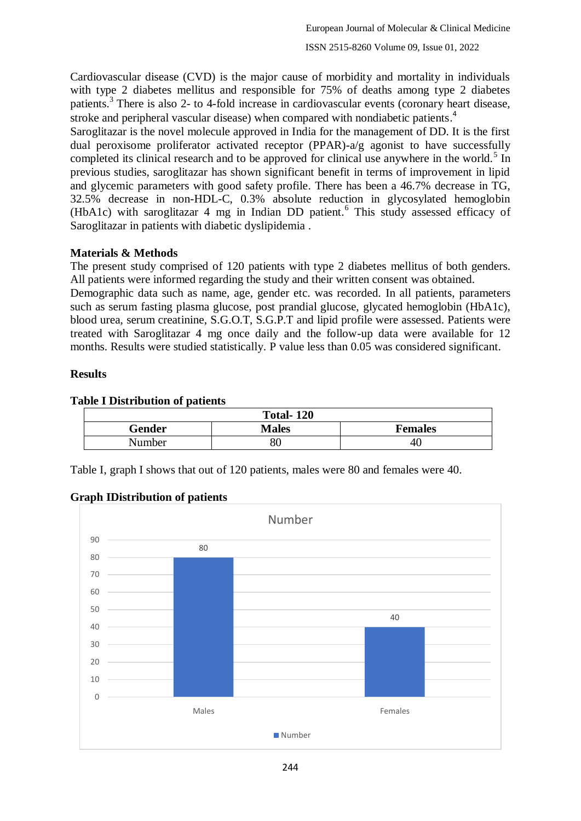Cardiovascular disease (CVD) is the major cause of morbidity and mortality in individuals with type 2 diabetes mellitus and responsible for 75% of deaths among type 2 diabetes patients.<sup>3</sup> There is also 2- to 4-fold increase in cardiovascular events (coronary heart disease, stroke and peripheral vascular disease) when compared with nondiabetic patients. 4

Saroglitazar is the novel molecule approved in India for the management of DD. It is the first dual peroxisome proliferator activated receptor (PPAR)-a/g agonist to have successfully completed its clinical research and to be approved for clinical use anywhere in the world.<sup>5</sup> In previous studies, saroglitazar has shown significant benefit in terms of improvement in lipid and glycemic parameters with good safety profile. There has been a 46.7% decrease in TG, 32.5% decrease in non-HDL-C, 0.3% absolute reduction in glycosylated hemoglobin (HbA1c) with saroglitazar 4 mg in Indian DD patient.<sup>6</sup> This study assessed efficacy of Saroglitazar in patients with diabetic dyslipidemia .

### **Materials & Methods**

The present study comprised of 120 patients with type 2 diabetes mellitus of both genders. All patients were informed regarding the study and their written consent was obtained.

Demographic data such as name, age, gender etc. was recorded. In all patients, parameters such as serum fasting plasma glucose, post prandial glucose, glycated hemoglobin (HbA1c), blood urea, serum creatinine, S.G.O.T, S.G.P.T and lipid profile were assessed. Patients were treated with Saroglitazar 4 mg once daily and the follow-up data were available for 12 months. Results were studied statistically. P value less than 0.05 was considered significant.

## **Results**

| <b>Table I Distribution of patients</b> |  |
|-----------------------------------------|--|
|-----------------------------------------|--|

| <b>Total-120</b>       |  |                |  |  |
|------------------------|--|----------------|--|--|
| Gender<br><b>Males</b> |  | <b>Females</b> |  |  |
| Number                 |  | -40            |  |  |

Table I, graph I shows that out of 120 patients, males were 80 and females were 40.

### **Graph IDistribution of patients**

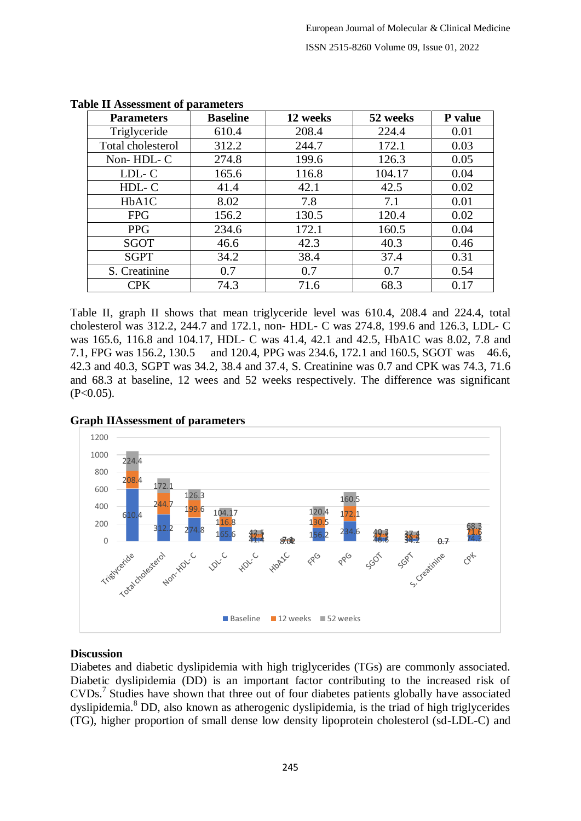| <b>Parameters</b> | <b>Baseline</b> | 12 weeks | 52 weeks | P value |
|-------------------|-----------------|----------|----------|---------|
| Triglyceride      | 610.4           | 208.4    | 224.4    | 0.01    |
| Total cholesterol | 312.2           | 244.7    | 172.1    | 0.03    |
| Non-HDL-C         | 274.8           | 199.6    | 126.3    | 0.05    |
| LDL-C             | 165.6           | 116.8    | 104.17   | 0.04    |
| HDL-C             | 41.4            | 42.1     | 42.5     | 0.02    |
| HbA1C             | 8.02            | 7.8      | 7.1      | 0.01    |
| <b>FPG</b>        | 156.2           | 130.5    | 120.4    | 0.02    |
| <b>PPG</b>        | 234.6           | 172.1    | 160.5    | 0.04    |
| <b>SGOT</b>       | 46.6            | 42.3     | 40.3     | 0.46    |
| <b>SGPT</b>       | 34.2            | 38.4     | 37.4     | 0.31    |
| S. Creatinine     | 0.7             | 0.7      | 0.7      | 0.54    |
| CPK               | 74.3            | 71.6     | 68.3     | 0.17    |

#### **Table II Assessment of parameters**

Table II, graph II shows that mean triglyceride level was 610.4, 208.4 and 224.4, total cholesterol was 312.2, 244.7 and 172.1, non- HDL- C was 274.8, 199.6 and 126.3, LDL- C was 165.6, 116.8 and 104.17, HDL- C was 41.4, 42.1 and 42.5, HbA1C was 8.02, 7.8 and 7.1, FPG was 156.2, 130.5 and 120.4, PPG was 234.6, 172.1 and 160.5, SGOT was 46.6, 42.3 and 40.3, SGPT was 34.2, 38.4 and 37.4, S. Creatinine was 0.7 and CPK was 74.3, 71.6 and 68.3 at baseline, 12 wees and 52 weeks respectively. The difference was significant  $(P<0.05)$ .



#### **Graph IIAssessment of parameters**

#### **Discussion**

Diabetes and diabetic dyslipidemia with high triglycerides (TGs) are commonly associated. Diabetic dyslipidemia (DD) is an important factor contributing to the increased risk of CVDs.<sup>7</sup> Studies have shown that three out of four diabetes patients globally have associated dyslipidemia.<sup>8</sup> DD, also known as atherogenic dyslipidemia, is the triad of high triglycerides (TG), higher proportion of small dense low density lipoprotein cholesterol (sd-LDL-C) and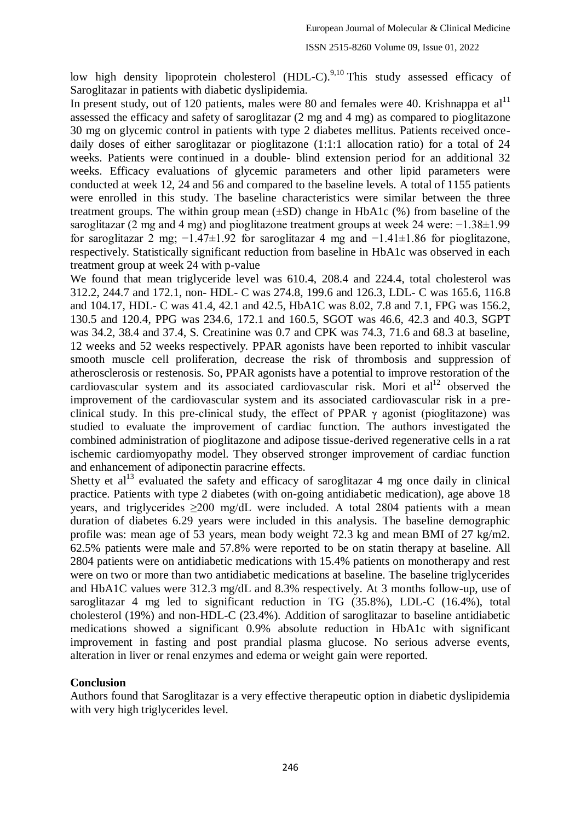low high density lipoprotein cholesterol (HDL-C).<sup>9,10</sup> This study assessed efficacy of Saroglitazar in patients with diabetic dyslipidemia.

In present study, out of 120 patients, males were 80 and females were 40. Krishnappa et al<sup>11</sup> assessed the efficacy and safety of saroglitazar (2 mg and 4 mg) as compared to pioglitazone 30 mg on glycemic control in patients with type 2 diabetes mellitus. Patients received oncedaily doses of either saroglitazar or pioglitazone (1:1:1 allocation ratio) for a total of 24 weeks. Patients were continued in a double- blind extension period for an additional 32 weeks. Efficacy evaluations of glycemic parameters and other lipid parameters were conducted at week 12, 24 and 56 and compared to the baseline levels. A total of 1155 patients were enrolled in this study. The baseline characteristics were similar between the three treatment groups. The within group mean  $(\pm SD)$  change in HbA1c (%) from baseline of the saroglitazar (2 mg and 4 mg) and pioglitazone treatment groups at week 24 were: −1.38±1.99 for saroglitazar 2 mg; −1.47±1.92 for saroglitazar 4 mg and −1.41±1.86 for pioglitazone, respectively. Statistically significant reduction from baseline in HbA1c was observed in each treatment group at week 24 with p-value

We found that mean triglyceride level was 610.4, 208.4 and 224.4, total cholesterol was 312.2, 244.7 and 172.1, non- HDL- C was 274.8, 199.6 and 126.3, LDL- C was 165.6, 116.8 and 104.17, HDL- C was 41.4, 42.1 and 42.5, HbA1C was 8.02, 7.8 and 7.1, FPG was 156.2, 130.5 and 120.4, PPG was 234.6, 172.1 and 160.5, SGOT was 46.6, 42.3 and 40.3, SGPT was 34.2, 38.4 and 37.4, S. Creatinine was 0.7 and CPK was 74.3, 71.6 and 68.3 at baseline, 12 weeks and 52 weeks respectively. PPAR agonists have been reported to inhibit vascular smooth muscle cell proliferation, decrease the risk of thrombosis and suppression of atherosclerosis or restenosis. So, PPAR agonists have a potential to improve restoration of the cardiovascular system and its associated cardiovascular risk. Mori et  $al<sup>12</sup>$  observed the improvement of the cardiovascular system and its associated cardiovascular risk in a preclinical study. In this pre-clinical study, the effect of PPAR  $\gamma$  agonist (pioglitazone) was studied to evaluate the improvement of cardiac function. The authors investigated the combined administration of pioglitazone and adipose tissue-derived regenerative cells in a rat ischemic cardiomyopathy model. They observed stronger improvement of cardiac function and enhancement of adiponectin paracrine effects.

Shetty et  $al<sup>13</sup>$  evaluated the safety and efficacy of saroglitazar 4 mg once daily in clinical practice. Patients with type 2 diabetes (with on-going antidiabetic medication), age above 18 years, and triglycerides  $\geq 200$  mg/dL were included. A total 2804 patients with a mean duration of diabetes 6.29 years were included in this analysis. The baseline demographic profile was: mean age of 53 years, mean body weight 72.3 kg and mean BMI of 27 kg/m2. 62.5% patients were male and 57.8% were reported to be on statin therapy at baseline. All 2804 patients were on antidiabetic medications with 15.4% patients on monotherapy and rest were on two or more than two antidiabetic medications at baseline. The baseline triglycerides and HbA1C values were 312.3 mg/dL and 8.3% respectively. At 3 months follow-up, use of saroglitazar 4 mg led to significant reduction in TG (35.8%), LDL-C (16.4%), total cholesterol (19%) and non-HDL-C (23.4%). Addition of saroglitazar to baseline antidiabetic medications showed a significant 0.9% absolute reduction in HbA1c with significant improvement in fasting and post prandial plasma glucose. No serious adverse events, alteration in liver or renal enzymes and edema or weight gain were reported.

#### **Conclusion**

Authors found that Saroglitazar is a very effective therapeutic option in diabetic dyslipidemia with very high triglycerides level.